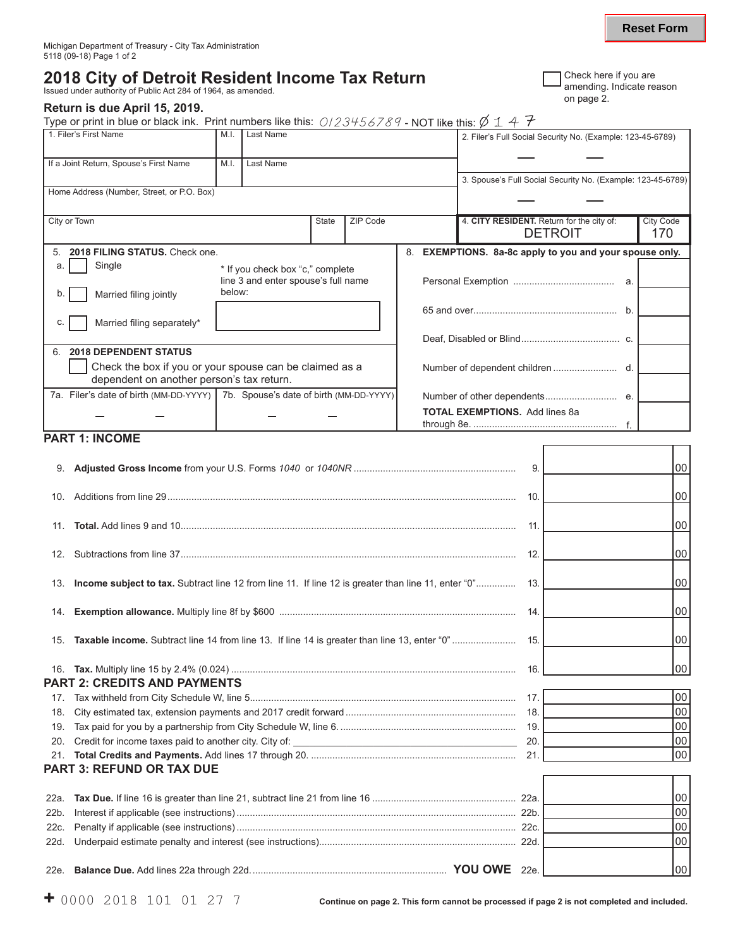# **2018 City of Detroit Resident Income Tax Return** Issued under authority of Public Act 284 of 1964, as amended.

### **Return is due April 15, 2019.**

Type or print in blue or black ink. Print numbers like this:  $0/23456789$  - NOT like this:  $\emptyset$  1 4 7

| 1. Filer's First Name                                                                                | M.I.                                                                    | Last Name |                                                                   |          |  | 2. Filer's Full Social Security No. (Example: 123-45-6789)  |                         |
|------------------------------------------------------------------------------------------------------|-------------------------------------------------------------------------|-----------|-------------------------------------------------------------------|----------|--|-------------------------------------------------------------|-------------------------|
| If a Joint Return, Spouse's First Name                                                               | M.I.                                                                    | Last Name |                                                                   |          |  |                                                             |                         |
|                                                                                                      |                                                                         |           |                                                                   |          |  | 3. Spouse's Full Social Security No. (Example: 123-45-6789) |                         |
| Home Address (Number, Street, or P.O. Box)                                                           |                                                                         |           |                                                                   |          |  |                                                             |                         |
| City or Town                                                                                         |                                                                         |           | <b>State</b>                                                      | ZIP Code |  | 4. CITY RESIDENT. Return for the city of:<br><b>DETROIT</b> | <b>City Code</b><br>170 |
| 2018 FILING STATUS. Check one.<br>5.                                                                 |                                                                         |           | 8.<br><b>EXEMPTIONS.</b> 8a-8c apply to you and your spouse only. |          |  |                                                             |                         |
| Single<br>a.                                                                                         | * If you check box "c," complete<br>line 3 and enter spouse's full name |           |                                                                   |          |  | а.                                                          |                         |
| Married filing jointly<br>b.                                                                         | below:                                                                  |           |                                                                   |          |  |                                                             |                         |
| Married filing separately*<br>C.                                                                     |                                                                         |           |                                                                   |          |  | $b$ .                                                       |                         |
|                                                                                                      |                                                                         |           |                                                                   |          |  |                                                             |                         |
| <b>2018 DEPENDENT STATUS</b><br>6.                                                                   |                                                                         |           |                                                                   |          |  |                                                             |                         |
| Check the box if you or your spouse can be claimed as a<br>dependent on another person's tax return. |                                                                         |           |                                                                   | d.       |  |                                                             |                         |
| 7a. Filer's date of birth (MM-DD-YYYY)   7b. Spouse's date of birth (MM-DD-YYYY)                     |                                                                         |           |                                                                   |          |  |                                                             |                         |
|                                                                                                      |                                                                         |           |                                                                   |          |  | <b>TOTAL EXEMPTIONS.</b> Add lines 8a                       |                         |

## **PART 1: INCOME**

|      |                                                                                                         | 9.              | 00 <sup>1</sup> |
|------|---------------------------------------------------------------------------------------------------------|-----------------|-----------------|
|      |                                                                                                         | 10.             | 00 <sup>1</sup> |
|      |                                                                                                         | 11.             | 00              |
|      |                                                                                                         | 12.             | 00 l            |
|      | 13. Income subject to tax. Subtract line 12 from line 11. If line 12 is greater than line 11, enter "0" | 13.             | 00              |
|      |                                                                                                         | 14.             | 00 <sup>1</sup> |
|      |                                                                                                         | 15.             | 00              |
|      |                                                                                                         | 16.             | 00 <sup>1</sup> |
|      | <b>PART 2: CREDITS AND PAYMENTS</b>                                                                     |                 |                 |
| 17.  |                                                                                                         | 17 <sub>1</sub> | 00 <sup>1</sup> |
| 18.  |                                                                                                         | 18.             | 00              |
| 19.  |                                                                                                         | 19.             | 00              |
| 20.  |                                                                                                         | 20.             | 00              |
| 21.  |                                                                                                         |                 | 00 <sup>1</sup> |
|      | <b>PART 3: REFUND OR TAX DUE</b>                                                                        |                 |                 |
|      |                                                                                                         |                 |                 |
| 22a. |                                                                                                         |                 | 00              |
| 22b. |                                                                                                         |                 | 00              |
| 22c. |                                                                                                         |                 | 00              |
| 22d. |                                                                                                         |                 | 00              |
|      |                                                                                                         | 22e.            | 00 <sup>1</sup> |

**Reset Form**

т ٦

Г